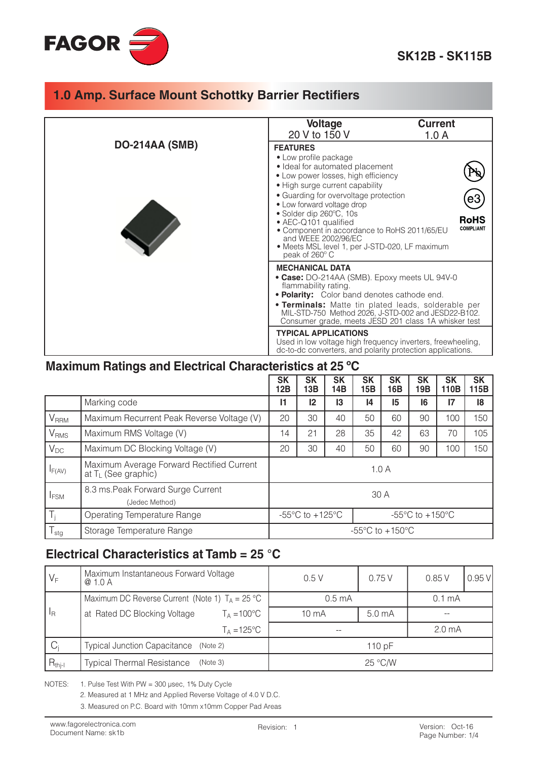

|                       | <b>Voltage</b><br>20 V to 150 V                                                                                                                                                                                                                                                                                                                                                                                            | <b>Current</b><br>1.0 A         |
|-----------------------|----------------------------------------------------------------------------------------------------------------------------------------------------------------------------------------------------------------------------------------------------------------------------------------------------------------------------------------------------------------------------------------------------------------------------|---------------------------------|
| <b>DO-214AA (SMB)</b> |                                                                                                                                                                                                                                                                                                                                                                                                                            |                                 |
|                       | <b>FEATURES</b><br>• Low profile package<br>• Ideal for automated placement<br>• Low power losses, high efficiency<br>• High surge current capability<br>• Guarding for overvoltage protection<br>• Low forward voltage drop<br>• Solder dip 260°C, 10s<br>• AEC-Q101 qualified<br>• Component in accordance to RoHS 2011/65/EU<br>and WEEE 2002/96/EC<br>• Meets MSL level 1, per J-STD-020, LF maximum<br>peak of 260° C | <b>RoHS</b><br><b>COMPLIANT</b> |
|                       | <b>MECHANICAL DATA</b><br>• Case: DO-214AA (SMB). Epoxy meets UL 94V-0<br>flammability rating.<br>. Polarity: Color band denotes cathode end.<br><b>• Terminals:</b> Matte tin plated leads, solderable per<br>MIL-STD-750 Method 2026, J-STD-002 and JESD22-B102.<br>Consumer grade, meets JESD 201 class 1A whisker test                                                                                                 |                                 |
|                       | <b>TYPICAL APPLICATIONS</b><br>Used in low voltage high frequency inverters, freewheeling,<br>dc-to-dc converters, and polarity protection applications.                                                                                                                                                                                                                                                                   |                                 |

#### Maximum Ratings and Electrical Characteristics at 25 °C

|                         |                                                                              | <b>SK</b><br>12B                                                                                               | <b>SK</b><br>13B | <b>SK</b><br>14B | <b>SK</b><br>15B | <b>SK</b><br>16B | <b>SK</b><br>19B | <b>SK</b><br>110B | <b>SK</b><br>115B |
|-------------------------|------------------------------------------------------------------------------|----------------------------------------------------------------------------------------------------------------|------------------|------------------|------------------|------------------|------------------|-------------------|-------------------|
|                         | Marking code                                                                 | 11                                                                                                             | 12               | 13               | 14               | 15               | 16               | 17                | 18                |
| V <sub>RRM</sub>        | Maximum Recurrent Peak Reverse Voltage (V)                                   |                                                                                                                | 30               | 40               | 50               | 60               | 90               | 100               | 150               |
| V <sub>RMS</sub>        | Maximum RMS Voltage (V)                                                      |                                                                                                                | 21               | 28               | 35               | 42               | 63               | 70                | 105               |
| $V_{DC}$                | Maximum DC Blocking Voltage (V)                                              |                                                                                                                | 30               | 40               | 50               | 60               | 90               | 100               | 150               |
| $I_{F(AV)}$             | Maximum Average Forward Rectified Current<br>at T <sub>L</sub> (See graphic) | 1.0A                                                                                                           |                  |                  |                  |                  |                  |                   |                   |
| <b>I</b> <sub>FSM</sub> | 8.3 ms. Peak Forward Surge Current<br>(Jedec Method)                         | 30 A                                                                                                           |                  |                  |                  |                  |                  |                   |                   |
| $T_i$                   | Operating Temperature Range                                                  | -55 $\mathrm{^{\circ}C}$ to +125 $\mathrm{^{\circ}C}$<br>-55 $\mathrm{^{\circ}C}$ to +150 $\mathrm{^{\circ}C}$ |                  |                  |                  |                  |                  |                   |                   |
| $T_{\text{stg}}$        | Storage Temperature Range                                                    | $-55^{\circ}$ C to $+150^{\circ}$ C                                                                            |                  |                  |                  |                  |                  |                   |                   |

### Electrical Characteristics at Tamb =  $25 \text{ }^{\circ}$ C

| $V_F$            | Maximum Instantaneous Forward Voltage<br>@ 1.0 A         | 0.5V              | 0.75V              | 0.85V            | $0.95$ V |
|------------------|----------------------------------------------------------|-------------------|--------------------|------------------|----------|
|                  | Maximum DC Reverse Current (Note 1) $T_A = 25 \degree C$ | 0.5 <sub>mA</sub> | 0.1 <sub>m</sub> A |                  |          |
| $I_{\mathsf{R}}$ | at Rated DC Blocking Voltage<br>$T_A = 100^{\circ}C$     | 10 <sub>m</sub> A | 5.0 <sub>mA</sub>  |                  |          |
|                  | $T_A = 125^{\circ}C$                                     |                   |                    | $2.0 \text{ mA}$ |          |
| $C_i$            | Typical Junction Capacitance (Note 2)                    |                   | 110 $pF$           |                  |          |
| $R_{thj-l}$      | <b>Typical Thermal Resistance</b><br>(Note 3)            |                   | 25 °C/W            |                  |          |

NOTES: 1. Pulse Test With PW = 300 µsec, 1% Duty Cycle

2. Measured at 1 MHz and Applied Reverse Voltage of 4.0 V D.C.

3. Measured on P.C. Board with 10mm x10mm Copper Pad Areas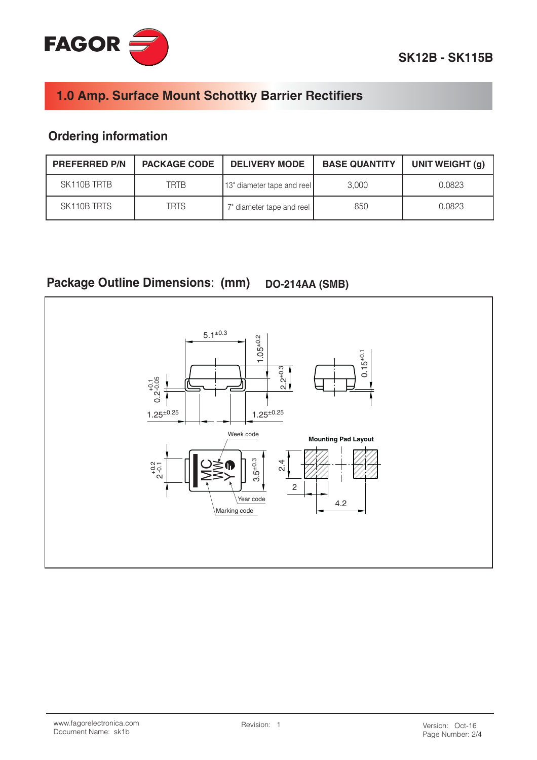

# **Ordering information**

| <b>PREFERRED P/N</b> | <b>PACKAGE CODE</b> | <b>DELIVERY MODE</b>       | <b>BASE QUANTITY</b> | UNIT WEIGHT (g) |
|----------------------|---------------------|----------------------------|----------------------|-----------------|
| SK110B TRTB          | <b>TRTB</b>         | 13" diameter tape and reel | 3.000                | 0.0823          |
| SK110B TRTS          | <b>TRTS</b>         | 7" diameter tape and reel  | 850                  | 0.0823          |

#### **Package Outline Dimensions: (mm) DO-214AA (SMB)**

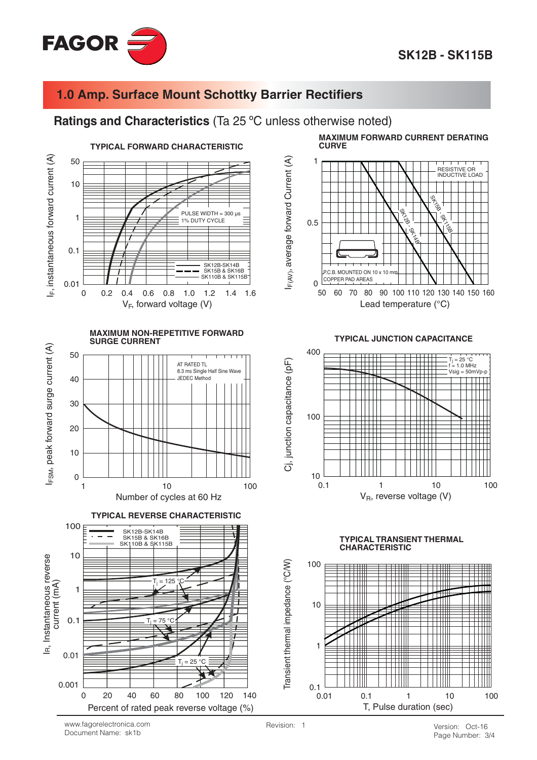

#### Ratings and Characteristics (Ta 25 °C unless otherwise noted)





**TYPICAL REVERSE CHARACTERISTIC** 



**MAXIMUM FORWARD CURRENT DERATING CURVE** 



**TYPICAL JUNCTION CAPACITANCE** 



#### **TYPICAL TRANSIENT THERMAL CHARACTERISTIC**